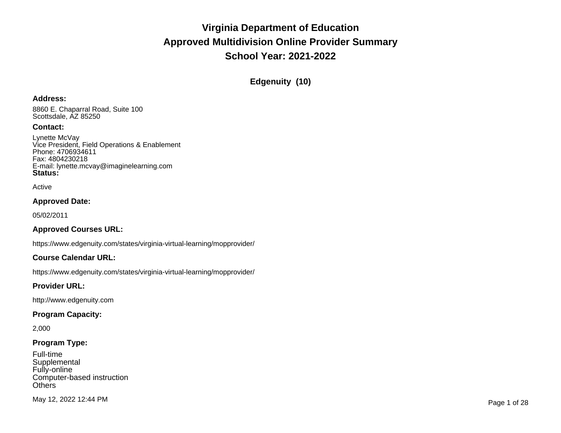**Edgenuity (10)**

#### **Address:**

8860 E. Chaparral Road, Suite 100 Scottsdale, AZ 85250

### **Contact:**

Lynette McVay Vice President, Field Operations & Enablement Phone: 4706934611 Fax: 4804230218 E-mail: lynette.mcvay@imaginelearning.com **Status:**

Active

### **Approved Date:**

05/02/2011

## **Approved Courses URL:**

https://www.edgenuity.com/states/virginia-virtual-learning/mopprovider/

### **Course Calendar URL:**

https://www.edgenuity.com/states/virginia-virtual-learning/mopprovider/

### **Provider URL:**

http://www.edgenuity.com

### **Program Capacity:**

2,000

## **Program Type:**

| Full-time                  |
|----------------------------|
| Supplemental               |
| Fully-online               |
| Computer-based instruction |
| <b>Others</b>              |

May 12, 2022 12:44 PM Page 1 of 28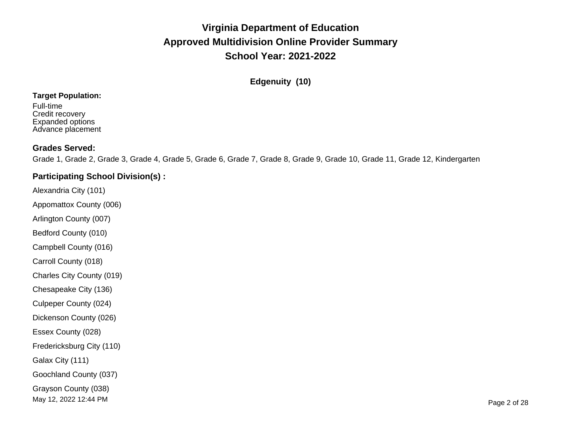**Edgenuity (10)**

### **Target Population:**

Full-time Credit recovery Expanded options Advance placement

## **Grades Served:**

Grade 1, Grade 2, Grade 3, Grade 4, Grade 5, Grade 6, Grade 7, Grade 8, Grade 9, Grade 10, Grade 11, Grade 12, Kindergarten

## **Participating School Division(s) :**

Alexandria City (101)

Appomattox County (006)

Arlington County (007)

Bedford County (010)

Campbell County (016)

Carroll County (018)

Charles City County (019)

Chesapeake City (136)

Culpeper County (024)

Dickenson County (026)

Essex County (028)

Fredericksburg City (110)

Galax City (111)

Goochland County (037)

Grayson County (038)

May 12, 2022 12:44 PM Page 2 of 28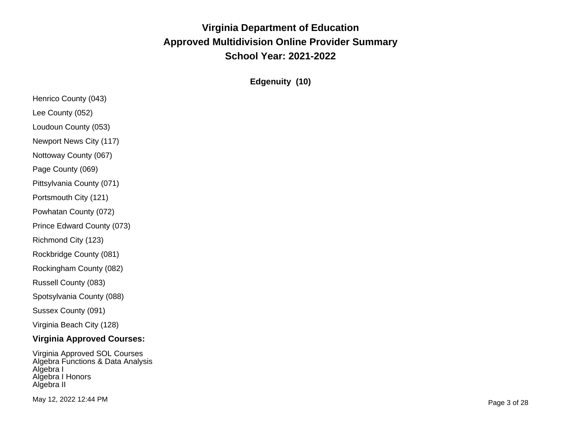**Edgenuity (10)**

| Henrico County (043)              |
|-----------------------------------|
| Lee County (052)                  |
| Loudoun County (053)              |
| Newport News City (117)           |
| Nottoway County (067)             |
| Page County (069)                 |
| Pittsylvania County (071)         |
| Portsmouth City (121)             |
| Powhatan County (072)             |
| Prince Edward County (073)        |
| Richmond City (123)               |
| Rockbridge County (081)           |
| Rockingham County (082)           |
| Russell County (083)              |
| Spotsylvania County (088)         |
| Sussex County (091)               |
| Virginia Beach City (128)         |
| <b>Virginia Approved Courses:</b> |
| Virginia Approved SOL Courses     |

Algebra Functions & Data Analysis Algebra I Algebra I Honors Algebra II

May 12, 2022 12:44 PM Page 3 of 28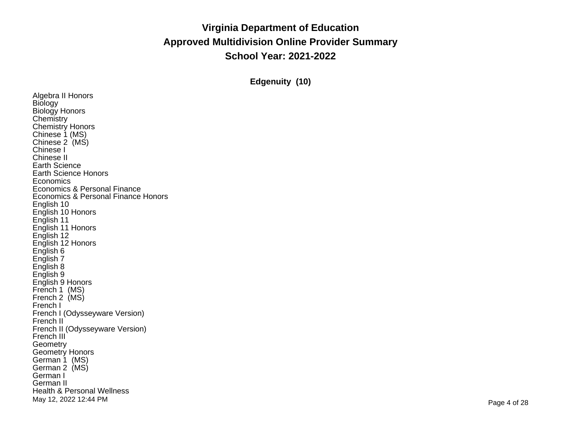**Edgenuity (10)**

Algebra II Honors **Biology** Biology Honors **Chemistry** Chemistry Honors Chinese 1 (MS) Chinese 2 (MS) Chinese I Chinese II Earth Science Earth Science Honors **Economics** Economics & Personal Finance Economics & Personal Finance Honors English 10 English 10 Honors English 11 English 11 Honors English 12 English 12 Honors English 6 English 7 English 8 English 9 English 9 Honors French 1 (MS) French 2 (MS) French I French I (Odysseyware Version) French II French II (Odysseyware Version) French III<sup>'</sup> Geometry Geometry Honors German 1 (MS) German 2 (MS) German I German II Health & Personal Wellness May 12, 2022 12:44 PM Page 4 of 28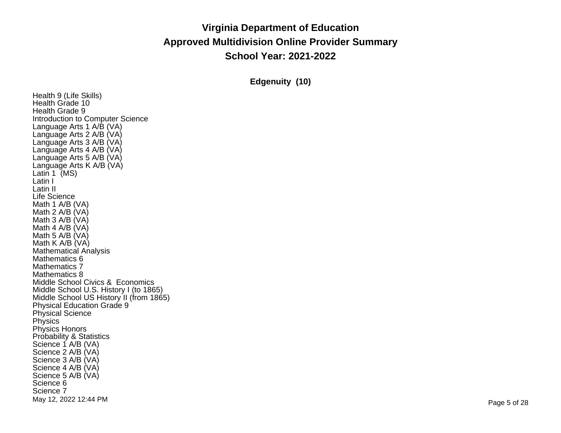**Edgenuity (10)**

Health 9 (Life Skills) Health Grade 10 Health Grade 9 Introduction to Computer Science Language Arts 1 A/B (VA) Language Arts 2 A/B (VA) Language Arts 3 A/B (VA) Language Arts 4 A/B (VA) Language Arts 5 A/B (VA) Language Arts K A/B (VA) Latin 1 (MS) Latin I Latin II Life Science Math 1 A/B (VA) Math 2 A/B (VA) Math 3 A/B (VA) Math 4 A/B (VA) Math 5 A/B (VA) Math K A/B (VA) Mathematical Analysis Mathematics 6 Mathematics 7 Mathematics 8 Middle School Civics & Economics Middle School U.S. History I (to 1865) Middle School US History II (from 1865) Physical Education Grade 9 Physical Science Physics Physics Honors Probability & Statistics Science 1 A/B (VA) Science 2 A/B (VA) Science 3 A/B (VA) Science 4 A/B (VA) Science 5 A/B (VA) Science 6 Science 7 May 12, 2022 12:44 PM Page 5 of 28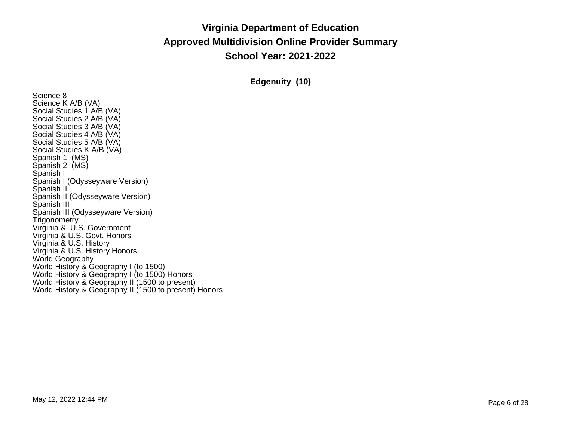**Edgenuity (10)**

Science 8 Science K A/B (VA) Social Studies 1 A/B (VA) Social Studies 2 A/B (VA) Social Studies 3 A/B (VA) Social Studies 4 A/B (VA) Social Studies 5 A/B (VA) Social Studies K A/B (VA) Spanish 1 (MS) Spanish 2 (MS) Spanish I Spanish I (Odysseyware Version) Spanish II Spanish II (Odysseyware Version) Spanish III Spanish III (Odysseyware Version) **Trigonometry** Virginia & U.S. Government Virginia & U.S. Govt. Honors Virginia & U.S. History Virginia & U.S. History Honors World Geography World History & Geography I (to 1500) World History & Geography I (to 1500) Honors World History & Geography II (1500 to present) World History & Geography II (1500 to present) Honors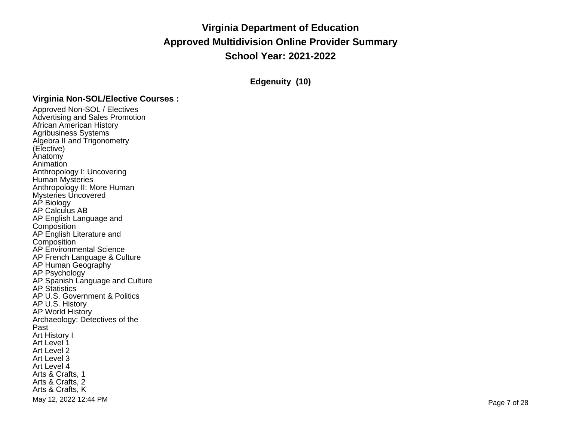**Edgenuity (10)**

## **Virginia Non-SOL/Elective Courses :**

Approved Non-SOL / Electives Advertising and Sales Promotion African American History Agribusiness Systems Algebra II and Trigonometry (Elective) Anatomy Animation Anthropology I: Uncovering Human Mysteries Anthropology II: More Human Mysteries Uncovered AP Biology AP Calculus AB AP English Language and **Composition** AP English Literature and **Composition** AP Environmental Science AP French Language & Culture AP Human Geography AP Psychology AP Spanish Language and Culture AP Statistics AP U.S. Government & Politics AP U.S. History AP World History Archaeology: Detectives of the Past Art History I Art Level 1 Art Level 2 Art Level 3 Art Level 4 Arts & Crafts, 1 Arts & Crafts, 2 Arts & Crafts, K May 12, 2022 12:44 PM Page 7 of 28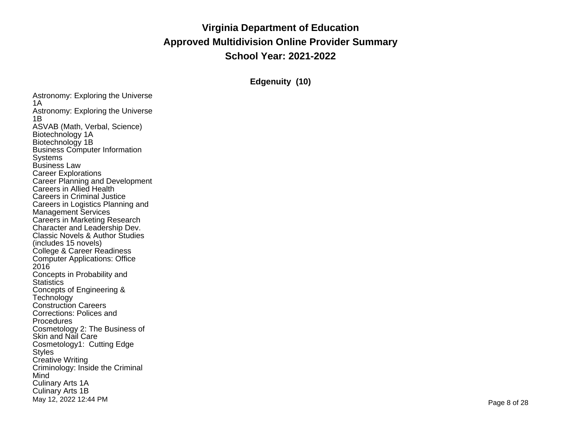**Edgenuity (10)**

Astronomy: Exploring the Universe 1A Astronomy: Exploring the Universe 1B ASVAB (Math, Verbal, Science) Biotechnology 1A Biotechnology 1B Business Computer Information **Systems** Business Law Career Explorations Career Planning and Development Careers in Allied Health Careers in Criminal Justice Careers in Logistics Planning and Management Services Careers in Marketing Research Character and Leadership Dev. Classic Novels & Author Studies (includes 15 novels) College & Career Readiness Computer Applications: Office 2016 Concepts in Probability and **Statistics** Concepts of Engineering & **Technology** Construction Careers Corrections: Polices and Procedures Cosmetology 2: The Business of Skin and Nail Care Cosmetology1: Cutting Edge **Styles** Creative Writing Criminology: Inside the Criminal Mind Culinary Arts 1A Culinary Arts 1B May 12, 2022 12:44 PM Page 8 of 28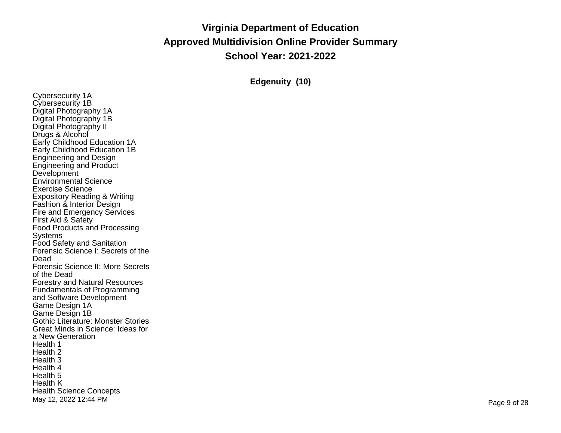**Edgenuity (10)**

Cybersecurity 1A Cybersecurity 1B Digital Photography 1A Digital Photography 1B Digital Photography II Drugs & Alcohol Early Childhood Education 1A Early Childhood Education 1B Engineering and Design Engineering and Product **Development** Environmental Science Exercise Science Expository Reading & Writing Fashion & Interior Design Fire and Emergency Services First Aid & Safety Food Products and Processing Systems Food Safety and Sanitation Forensic Science I: Secrets of the Dead Forensic Science II: More Secrets of the Dead Forestry and Natural Resources Fundamentals of Programming and Software Development Game Design 1A Game Design 1B Gothic Literature: Monster Stories Great Minds in Science: Ideas for <sup>a</sup> New Generation Health 1 Health 2 Health 3 Health 4 Health 5 Health K Health Science Concepts<br>May 12, 2022 12:44 PM May 12, 2022 12:44 PM Page 9 of 28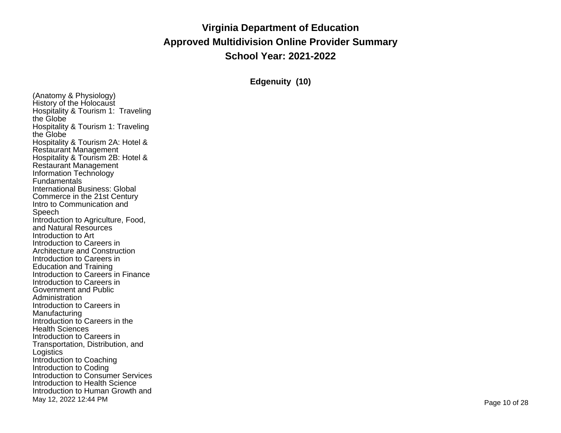**Edgenuity (10)**

(Anatomy & Physiology) History of the Holocaust Hospitality & Tourism 1: Traveling the Globe Hospitality & Tourism 1: Traveling the Globe Hospitality & Tourism 2A: Hotel & Restaurant Management Hospitality & Tourism 2B: Hotel & Restaurant Management Information Technology Fundamentals International Business: Global Commerce in the 21st Century Intro to Communication and Speech Introduction to Agriculture, Food, and Natural Resources Introduction to Art Introduction to Careers in Architecture and Construction Introduction to Careers in Education and Training Introduction to Careers in Finance Introduction to Careers in Government and Public Administration Introduction to Careers in Manufacturing Introduction to Careers in the Health Sciences Introduction to Careers in Transportation, Distribution, and **Logistics** Introduction to Coaching Introduction to Coding Introduction to Consumer Services Introduction to Health Science Introduction to Human Growth and<br>May 12, 2022 12:44 PM Page <sup>10</sup> of <sup>28</sup> May 12, <sup>2022</sup> 12:44 PM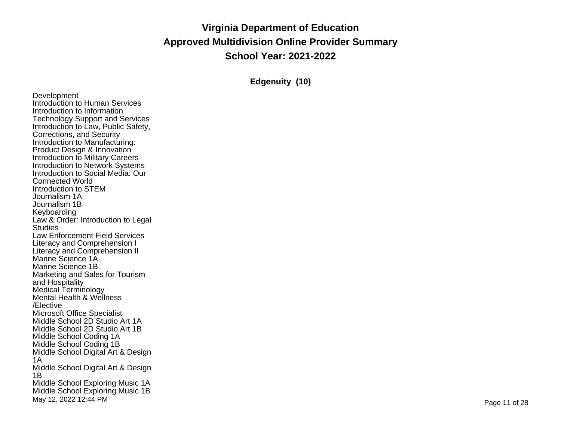**Edgenuity (10)**

Development Introduction to Human Services Introduction to Information Technology Support and Services Introduction to Law, Public Safety, Corrections, and Security Introduction to Manufacturing: Product Design & Innovation Introduction to Military Careers Introduction to Network Systems Introduction to Social Media: Our Connected World Introduction to STEM Journalism 1A Journalism 1B Keyboarding Law & Order: Introduction to Legal **Studies** Law Enforcement Field Services Literacy and Comprehension I Literacy and Comprehension II Marine Science 1A Marine Science 1B Marketing and Sales for Tourism and Hospitality Medical Terminology Mental Health & Wellness /Elective Microsoft Office Specialist Middle School 2D Studio Art 1A Middle School 2D Studio Art 1B Middle School Coding 1A Middle School Coding 1B Middle School Digital Art & Design 1A Middle School Digital Art & Design 1B Middle School Exploring Music 1A Middle School Exploring Music 1B<br>May 12, 2022 12:44 PM Page <sup>11</sup> of <sup>28</sup> May 12, <sup>2022</sup> 12:44 PM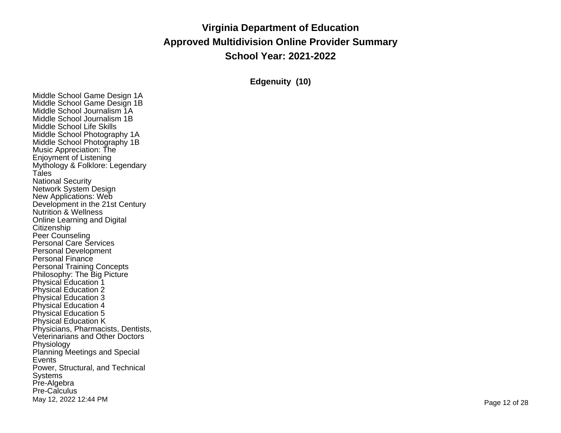**Edgenuity (10)**

Middle School Game Design 1A Middle School Game Design 1B Middle School Journalism 1A Middle School Journalism 1B Middle School Life Skills Middle School Photography 1A Middle School Photography 1B Music Appreciation: The Enjoyment of Listening Mythology & Folklore: Legendary Tales National Security Network System Design New Applications: Web Development in the 21st Century Nutrition & Wellness Online Learning and Digital **Citizenship** Peer Counseling Personal Care Services Personal Development Personal Finance Personal Training Concepts Philosophy: The Big Picture Physical Education 1 Physical Education 2 Physical Education 3 Physical Education 4 Physical Education 5 Physical Education K Physicians, Pharmacists, Dentists, Veterinarians and Other Doctors Physiology Planning Meetings and Special Events Power, Structural, and Technical Systems Pre-Algebra Pre-Calculus Page <sup>12</sup> of <sup>28</sup> May 12, <sup>2022</sup> 12:44 PM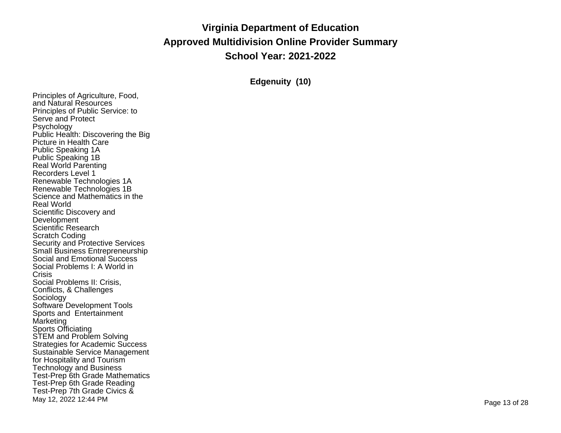**Edgenuity (10)**

Principles of Agriculture, Food, and Natural Resources Principles of Public Service: to Serve and Protect Psychology Public Health: Discovering the Big Picture in Health Care Public Speaking 1A Public Speaking 1B Real World Parenting Recorders Level 1 Renewable Technologies 1A Renewable Technologies 1B Science and Mathematics in the Real World Scientific Discovery and Development Scientific Research Scratch Coding Security and Protective Services Small Business Entrepreneurship Social and Emotional Success Social Problems I: A World in **Crisis** Social Problems II: Crisis, Conflicts, & Challenges Sociology Software Development Tools Sports and Entertainment Marketing Sports Officiating STEM and Problem Solving Strategies for Academic Success Sustainable Service Management for Hospitality and Tourism Technology and Business Test-Prep 6th Grade Mathematics Test-Prep 6th Grade Reading Test-Prep 7th Grade Civics & Page <sup>13</sup> of <sup>28</sup> May 12, <sup>2022</sup> 12:44 PM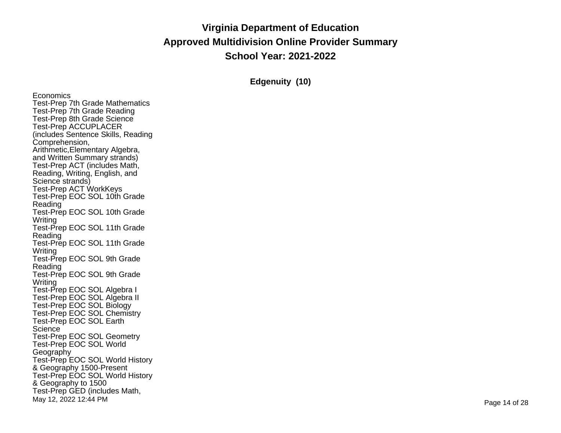**Edgenuity (10)**

**Economics** Test-Prep 7th Grade Mathematics Test-Prep 7th Grade Reading Test-Prep 8th Grade Science Test-Prep ACCUPLACER (includes Sentence Skills, Reading Comprehension, Arithmetic,Elementary Algebra, and Written Summary strands) Test-Prep ACT (includes Math, Reading, Writing, English, and Science strands) Test-Prep ACT WorkKeys Test-Prep EOC SOL 10th Grade Reading Test-Prep EOC SOL 10th Grade Writing Test-Prep EOC SOL 11th Grade Reading Test-Prep EOC SOL 11th Grade Writing Test-Prep EOC SOL 9th Grade Reading Test-Prep EOC SOL 9th Grade Writing Test-Prep EOC SOL Algebra I Test-Prep EOC SOL Algebra II Test-Prep EOC SOL Biology Test-Prep EOC SOL Chemistry Test-Prep EOC SOL Earth **Science** Test-Prep EOC SOL Geometry Test-Prep EOC SOL World **Geography** Test-Prep EOC SOL World History & Geography 1500-Present Test-Prep EOC SOL World History & Geography to <sup>1500</sup> Test-Prep GED (includes Math, Page <sup>14</sup> of <sup>28</sup> May 12, <sup>2022</sup> 12:44 PM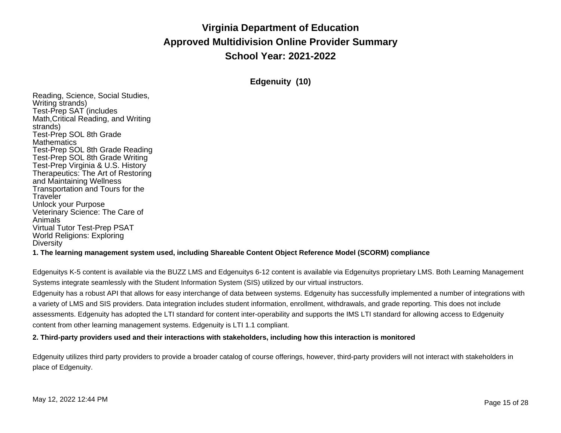**Edgenuity (10)**

Reading, Science, Social Studies, Writing strands) Test-Prep SAT (includes Math,Critical Reading, and Writing strands) Test-Prep SOL 8th Grade **Mathematics** Test-Prep SOL 8th Grade Reading Test-Prep SOL 8th Grade Writing Test-Prep Virginia & U.S. History Therapeutics: The Art of Restoring and Maintaining Wellness Transportation and Tours for the **Traveler** Unlock your Purpose Veterinary Science: The Care of Animals Virtual Tutor Test-Prep PSAT World Religions: Exploring **Diversity 1. The learning management system used, including Shareable Content Object Reference Model (SCORM) compliance**

Edgenuitys K-5 content is available via the BUZZ LMS and Edgenuitys 6-12 content is available via Edgenuitys proprietary LMS. Both Learning Management Systems integrate seamlessly with the Student Information System (SIS) utilized by our virtual instructors.

Edgenuity has a robust API that allows for easy interchange of data between systems. Edgenuity has successfully implemented a number of integrations with a variety of LMS and SIS providers. Data integration includes student information, enrollment, withdrawals, and grade reporting. This does not include assessments. Edgenuity has adopted the LTI standard for content inter-operability and supports the IMS LTI standard for allowing access to Edgenuity content from other learning management systems. Edgenuity is LTI 1.1 compliant.

**2. Third-party providers used and their interactions with stakeholders, including how this interaction is monitored**

Edgenuity utilizes third party providers to provide a broader catalog of course offerings, however, third-party providers will not interact with stakeholders in place of Edgenuity.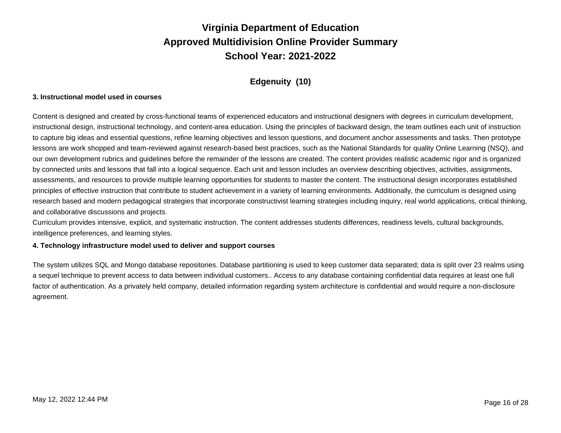## **Edgenuity (10)**

#### **3. Instructional model used in courses**

Content is designed and created by cross-functional teams of experienced educators and instructional designers with degrees in curriculum development, instructional design, instructional technology, and content-area education. Using the principles of backward design, the team outlines each unit of instruction to capture big ideas and essential questions, refine learning objectives and lesson questions, and document anchor assessments and tasks. Then prototype lessons are work shopped and team-reviewed against research-based best practices, such as the National Standards for quality Online Learning (NSQ), and our own development rubrics and guidelines before the remainder of the lessons are created. The content provides realistic academic rigor and is organized by connected units and lessons that fall into a logical sequence. Each unit and lesson includes an overview describing objectives, activities, assignments, assessments, and resources to provide multiple learning opportunities for students to master the content. The instructional design incorporates established principles of effective instruction that contribute to student achievement in a variety of learning environments. Additionally, the curriculum is designed using research based and modern pedagogical strategies that incorporate constructivist learning strategies including inquiry, real world applications, critical thinking, and collaborative discussions and projects.

Curriculum provides intensive, explicit, and systematic instruction. The content addresses students differences, readiness levels, cultural backgrounds, intelligence preferences, and learning styles.

#### **4. Technology infrastructure model used to deliver and support courses**

The system utilizes SQL and Mongo database repositories. Database partitioning is used to keep customer data separated; data is split over 23 realms using a sequel technique to prevent access to data between individual customers.. Access to any database containing confidential data requires at least one full factor of authentication. As a privately held company, detailed information regarding system architecture is confidential and would require a non-disclosure agreement.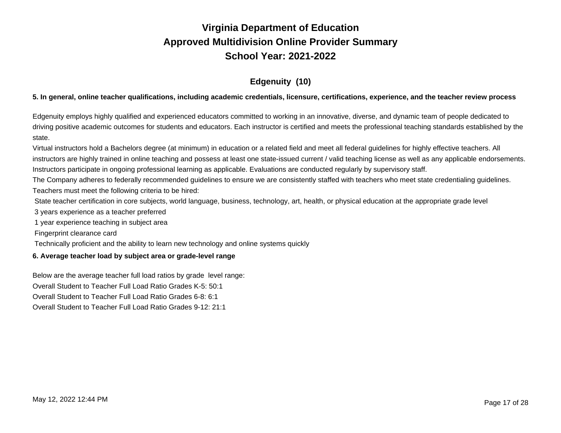## **Edgenuity (10)**

### 5. In general, online teacher qualifications, including academic credentials, licensure, certifications, experience, and the teacher review process

Edgenuity employs highly qualified and experienced educators committed to working in an innovative, diverse, and dynamic team of people dedicated to driving positive academic outcomes for students and educators. Each instructor is certified and meets the professional teaching standards established by the state.

Virtual instructors hold a Bachelors degree (at minimum) in education or a related field and meet all federal guidelines for highly effective teachers. All instructors are highly trained in online teaching and possess at least one state-issued current / valid teaching license as well as any applicable endorsements. Instructors participate in ongoing professional learning as applicable. Evaluations are conducted regularly by supervisory staff.

The Company adheres to federally recommended guidelines to ensure we are consistently staffed with teachers who meet state credentialing guidelines. Teachers must meet the following criteria to be hired:

State teacher certification in core subjects, world language, business, technology, art, health, or physical education at the appropriate grade level

3 years experience as a teacher preferred

1 year experience teaching in subject area

Fingerprint clearance card

Technically proficient and the ability to learn new technology and online systems quickly

### **6. Average teacher load by subject area or grade-level range**

Below are the average teacher full load ratios by grade level range:

Overall Student to Teacher Full Load Ratio Grades K-5: 50:1

Overall Student to Teacher Full Load Ratio Grades 6-8: 6:1

Overall Student to Teacher Full Load Ratio Grades 9-12: 21:1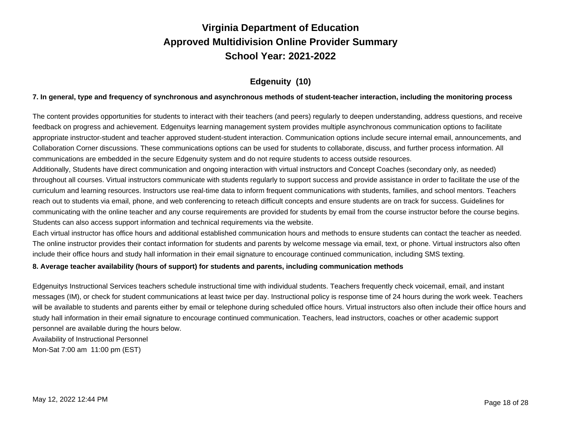## **Edgenuity (10)**

### 7. In general, type and frequency of synchronous and asynchronous methods of student-teacher interaction, including the monitoring process

The content provides opportunities for students to interact with their teachers (and peers) regularly to deepen understanding, address questions, and receive feedback on progress and achievement. Edgenuitys learning management system provides multiple asynchronous communication options to facilitate appropriate instructor-student and teacher approved student-student interaction. Communication options include secure internal email, announcements, and Collaboration Corner discussions. These communications options can be used for students to collaborate, discuss, and further process information. All communications are embedded in the secure Edgenuity system and do not require students to access outside resources.

Additionally, Students have direct communication and ongoing interaction with virtual instructors and Concept Coaches (secondary only, as needed) throughout all courses. Virtual instructors communicate with students regularly to support success and provide assistance in order to facilitate the use of the curriculum and learning resources. Instructors use real-time data to inform frequent communications with students, families, and school mentors. Teachers reach out to students via email, phone, and web conferencing to reteach difficult concepts and ensure students are on track for success. Guidelines for communicating with the online teacher and any course requirements are provided for students by email from the course instructor before the course begins. Students can also access support information and technical requirements via the website.

Each virtual instructor has office hours and additional established communication hours and methods to ensure students can contact the teacher as needed. The online instructor provides their contact information for students and parents by welcome message via email, text, or phone. Virtual instructors also often include their office hours and study hall information in their email signature to encourage continued communication, including SMS texting.

#### **8. Average teacher availability (hours of support) for students and parents, including communication methods**

Edgenuitys Instructional Services teachers schedule instructional time with individual students. Teachers frequently check voicemail, email, and instant messages (IM), or check for student communications at least twice per day. Instructional policy is response time of 24 hours during the work week. Teachers will be available to students and parents either by email or telephone during scheduled office hours. Virtual instructors also often include their office hours and study hall information in their email signature to encourage continued communication. Teachers, lead instructors, coaches or other academic support personnel are available during the hours below.

Availability of Instructional Personnel

Mon-Sat 7:00 am 11:00 pm (EST)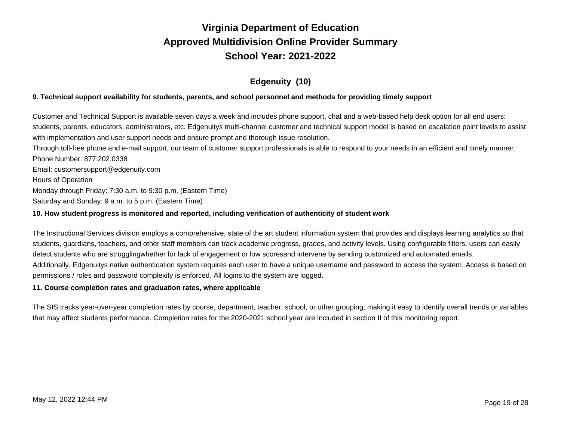## **Edgenuity (10)**

### 9. Technical support availability for students, parents, and school personnel and methods for providing timely support

Customer and Technical Support is available seven days a week and includes phone support, chat and a web-based help desk option for all end users: students, parents, educators, administrators, etc. Edgenuitys multi-channel customer and technical support model is based on escalation point levels to assist with implementation and user support needs and ensure prompt and thorough issue resolution. Through toll-free phone and e-mail support, our team of customer support professionals is able to respond to your needs in an efficient and timely manner. Phone Number: 877.202.0338

Email: customersupport@edgenuity.com Hours of Operation Monday through Friday: 7:30 a.m. to 9:30 p.m. (Eastern Time)

Saturday and Sunday: 9 a.m. to 5 p.m. (Eastern Time)

### **10. How student progress is monitored and reported, including verification of authenticity of student work**

The Instructional Services division employs a comprehensive, state of the art student information system that provides and displays learning analytics so that students, guardians, teachers, and other staff members can track academic progress, grades, and activity levels. Using configurable filters, users can easily detect students who are struggling whether for lack of engagement or low scores and intervene by sending customized and automated emails. Additionally, Edgenuitys native authentication system requires each user to have a unique username and password to access the system. Access is based on permissions / roles and password complexity is enforced. All logins to the system are logged.

### **11. Course completion rates and graduation rates, where applicable**

The SIS tracks year-over-year completion rates by course, department, teacher, school, or other grouping, making it easy to identify overall trends or variables that may affect students performance. Completion rates for the 2020-2021 school year are included in section II of this monitoring report.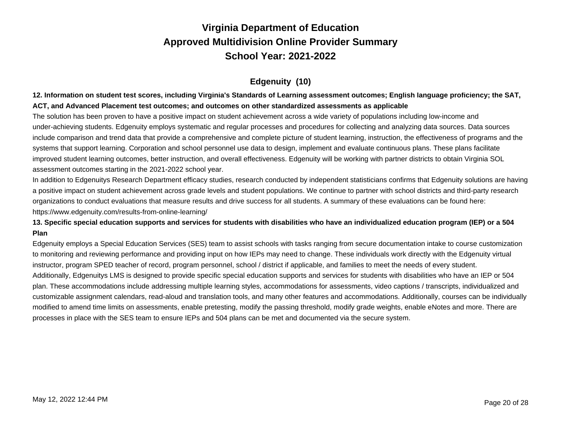## **Edgenuity (10)**

## 12. Information on student test scores, including Virginia's Standards of Learning assessment outcomes; English language proficiency; the SAT, **ACT, and Advanced Placement test outcomes; and outcomes on other standardized assessments as applicable**

The solution has been proven to have a positive impact on student achievement across a wide variety of populations including low-income and under-achieving students. Edgenuity employs systematic and regular processes and procedures for collecting and analyzing data sources. Data sources include comparison and trend data that provide a comprehensive and complete picture of student learning, instruction, the effectiveness of programs and the systems that support learning. Corporation and school personnel use data to design, implement and evaluate continuous plans. These plans facilitate improved student learning outcomes, better instruction, and overall effectiveness. Edgenuity will be working with partner districts to obtain Virginia SOL assessment outcomes starting in the 2021-2022 school year.

In addition to Edgenuitys Research Department efficacy studies, research conducted by independent statisticians confirms that Edgenuity solutions are having a positive impact on student achievement across grade levels and student populations. We continue to partner with school districts and third-party research organizations to conduct evaluations that measure results and drive success for all students. A summary of these evaluations can be found here: https://www.edgenuity.com/results-from-online-learning/

### 13. Specific special education supports and services for students with disabilities who have an individualized education program (IEP) or a 504 **Plan**

Edgenuity employs a Special Education Services (SES) team to assist schools with tasks ranging from secure documentation intake to course customization to monitoring and reviewing performance and providing input on how IEPs may need to change. These individuals work directly with the Edgenuity virtual instructor, program SPED teacher of record, program personnel, school / district if applicable, and families to meet the needs of every student. Additionally, Edgenuity s LMS is designed to provide specific special education supports and services for students with disabilities who have an IEP or 504 plan. These accommodations include addressing multiple learning styles, accommodations for assessments, video captions / transcripts, individualized and customizable assignment calendars, read-aloud and translation tools, and many other features and accommodations. Additionally, courses can be individually modified to amend time limits on assessments, enable pretesting, modify the passing threshold, modify grade weights, enable eNotes and more. There are processes in place with the SES team to ensure IEPs and 504 plans can be met and documented via the secure system.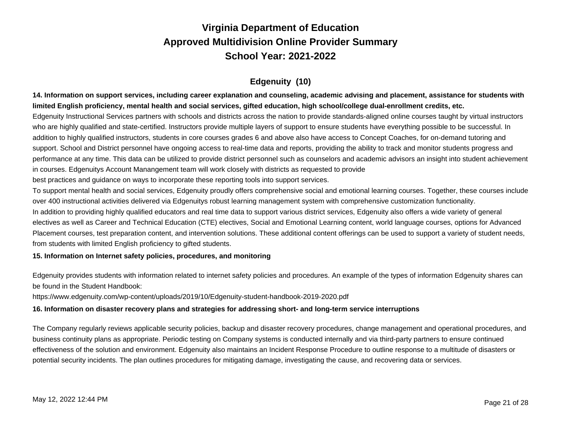## **Edgenuity (10)**

14. Information on support services, including career explanation and counseling, academic advising and placement, assistance for students with limited English proficiency, mental health and social services, gifted education, high school/college dual-enrollment credits, etc.

Edgenuity Instructional Services partners with schools and districts across the nation to provide standards-aligned online courses taught by virtual instructors who are highly qualified and state-certified. Instructors provide multiple layers of support to ensure students have everything possible to be successful. In addition to highly qualified instructors, students in core courses grades 6 and above also have access to Concept Coaches, for on-demand tutoring and support. School and District personnel have ongoing access to real-time data and reports, providing the ability to track and monitor students progress and performance at any time. This data can be utilized to provide district personnel such as counselors and academic advisors an insight into student achievement in courses. Edgenuitys Account Manangement team will work closely with districts as requested to provide

best practices and guidance on ways to incorporate these reporting tools into support services.

To support mental health and social services, Edgenuity proudly offers comprehensive social and emotional learning courses. Together, these courses include over 400 instructional activities delivered via Edgenuitys robust learning management system with comprehensive customization functionality. In addition to providing highly qualified educators and real time data to support various district services, Edgenuity also offers a wide variety of general electives as well as Career and Technical Education (CTE) electives, Social and Emotional Learning content, world language courses, options for Advanced Placement courses, test preparation content, and intervention solutions. These additional content offerings can be used to support a variety of student needs,

from students with limited English proficiency to gifted students.

## **15. Information on Internet safety policies, procedures, and monitoring**

Edgenuity provides students with information related to internet safety policies and procedures. An example of the types of information Edgenuity shares can be found in the Student Handbook:

https://www.edgenuity.com/wp-content/uploads/2019/10/Edgenuity-student-handbook-2019-2020.pdf

### **16. Information on disaster recovery plans and strategies for addressing short- and long-term service interruptions**

The Company regularly reviews applicable security policies, backup and disaster recovery procedures, change management and operational procedures, and business continuity plans as appropriate. Periodic testing on Company systems is conducted internally and via third-party partners to ensure continued effectiveness of the solution and environment. Edgenuity also maintains an Incident Response Procedure to outline response to a multitude of disasters or potential security incidents. The plan outlines procedures for mitigating damage, investigating the cause, and recovering data or services.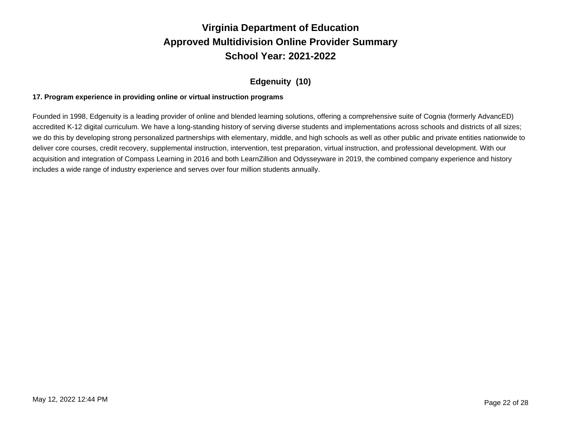## **Edgenuity (10)**

### **17. Program experience in providing online or virtual instruction programs**

Founded in 1998, Edgenuity is a leading provider of online and blended learning solutions, offering a comprehensive suite of Cognia (formerly AdvancED) accredited K-12 digital curriculum. We have a long-standing history of serving diverse students and implementations across schools and districts of all sizes; we do this by developing strong personalized partnerships with elementary, middle, and high schools as well as other public and private entities nationwide to deliver core courses, credit recovery, supplemental instruction, intervention, test preparation, virtual instruction, and professional development. With our acquisition and integration of Compass Learning in 2016 and both LearnZillion and Odysseyware in 2019, the combined company experience and history includes a wide range of industry experience and serves over four million students annually.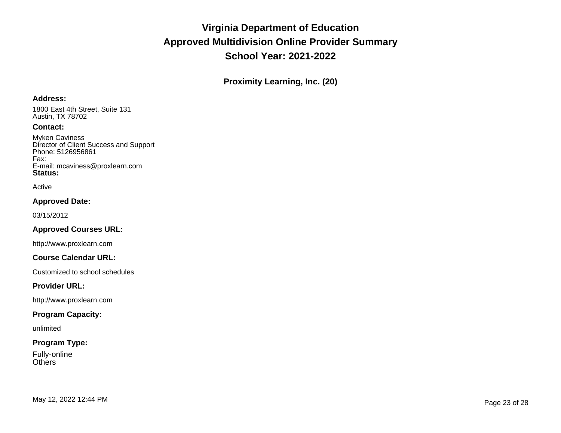**Proximity Learning, Inc. (20)**

### **Address:**

1800 East 4th Street, Suite 131 Austin, TX 78702

### **Contact:**

Myken Caviness Director of Client Success and Support Phone: 5126956861 Fax: E-mail: mcaviness@proxlearn.com **Status:**

#### Active

### **Approved Date:**

03/15/2012

## **Approved Courses URL:**

http://www.proxlearn.com

### **Course Calendar URL:**

Customized to school schedules

### **Provider URL:**

http://www.proxlearn.com

### **Program Capacity:**

unlimited

## **Program Type:**

Fully-online **Others**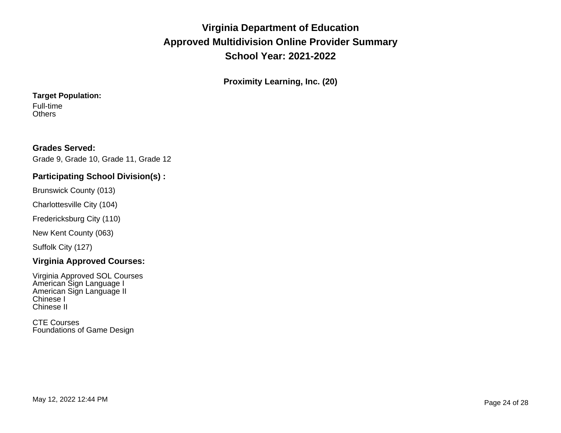**Proximity Learning, Inc. (20)**

## **Target Population:**

Full-time **Others** 

## **Grades Served:**

Grade 9, Grade 10, Grade 11, Grade 12

## **Participating School Division(s) :**

Brunswick County (013)

Charlottesville City (104)

Fredericksburg City (110)

New Kent County (063)

Suffolk City (127)

## **Virginia Approved Courses:**

Virginia Approved SOL Courses American Sign Language I American Sign Language II Chinese I Chinese II

CTE Courses Foundations of Game Design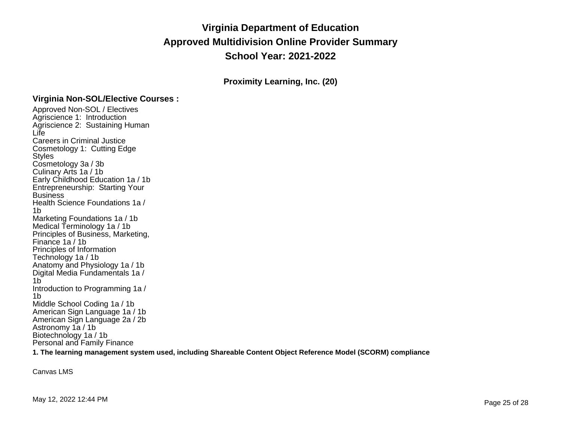**Proximity Learning, Inc. (20)**

## **Virginia Non-SOL/Elective Courses :**

Approved Non-SOL / Electives Agriscience 1: Introduction Agriscience 2: Sustaining Human Life Careers in Criminal Justice Cosmetology 1: Cutting Edge Styles Cosmetology 3a / 3b Culinary Arts 1a / 1b Early Childhood Education 1a / 1b Entrepreneurship: Starting Your **Business** Health Science Foundations 1a / 1b Marketing Foundations 1a / 1b Medical Terminology 1a / 1b Principles of Business, Marketing, Finance 1a / 1b Principles of Information Technology 1a / 1b Anatomy and Physiology 1a / 1b Digital Media Fundamentals 1a / 1b Introduction to Programming 1a / 1b Middle School Coding 1a / 1b American Sign Language 1a / 1b American Sign Language 2a / 2b Astronomy 1a / 1b Biotechnology 1a / 1b Personal and Family Finance

**1. The learning management system used, including Shareable Content Object Reference Model (SCORM) compliance**

Canvas LMS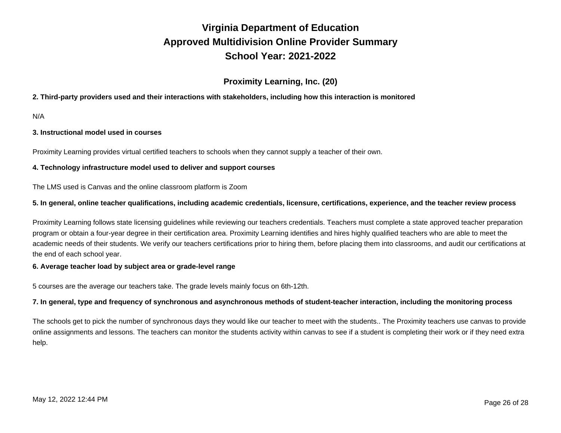## **Proximity Learning, Inc. (20)**

### **2. Third-party providers used and their interactions with stakeholders, including how this interaction is monitored**

N/A

### **3. Instructional model used in courses**

Proximity Learning provides virtual certified teachers to schools when they cannot supply a teacher of their own.

#### **4. Technology infrastructure model used to deliver and support courses**

The LMS used is Canvas and the online classroom platform is Zoom

#### 5. In general, online teacher qualifications, including academic credentials, licensure, certifications, experience, and the teacher review process

Proximity Learning follows state licensing guidelines while reviewing our teachers credentials. Teachers must complete a state approved teacher preparation program or obtain a four-year degree in their certification area. Proximity Learning identifies and hires highly qualified teachers who are able to meet the academic needs of their students. We verify our teachers certifications prior to hiring them, before placing them into classrooms, and audit our certifications at the end of each school year.

#### **6. Average teacher load by subject area or grade-level range**

5 courses are the average our teachers take. The grade levels mainly focus on 6th-12th.

#### 7. In general, type and frequency of synchronous and asynchronous methods of student-teacher interaction, including the monitoring process

The schools get to pick the number of synchronous days they would like our teacher to meet with the students.. The Proximity teachers use canvas to provide online assignments and lessons. The teachers can monitor the student s activity within canvas to see if a student is completing their work or if they need extra help.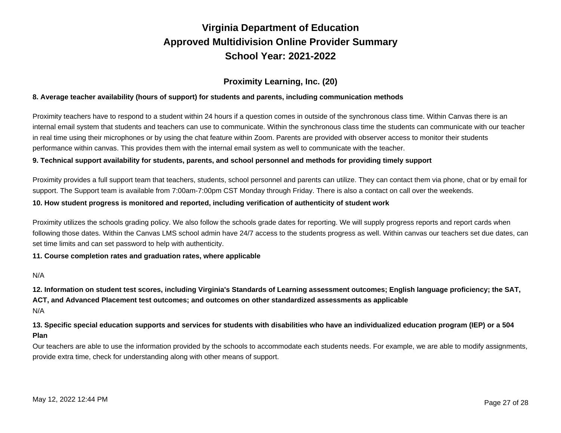## **Proximity Learning, Inc. (20)**

### **8. Average teacher availability (hours of support) for students and parents, including communication methods**

Proximity teachers have to respond to a student within 24 hours if a question comes in outside of the synchronous class time. Within Canvas there is an internal email system that students and teachers can use to communicate. Within the synchronous class time the students can communicate with our teacher in real time using their microphones or by using the chat feature within Zoom. Parents are provided with observer access to monitor their students performance within canvas. This provides them with the internal email system as well to communicate with the teacher.

#### 9. Technical support availability for students, parents, and school personnel and methods for providing timely support

Proximity provides a full support team that teachers, students, school personnel and parents can utilize. They can contact them via phone, chat or by email for support. The Support team is available from 7:00am-7:00pm CST Monday through Friday. There is also a contact on call over the weekends.

#### **10. How student progress is monitored and reported, including verification of authenticity of student work**

Proximity utilizes the schools grading policy. We also follow the schools grade dates for reporting. We will supply progress reports and report cards when following those dates. Within the Canvas LMS school admin have 24/7 access to the students progress as well. Within canvas our teachers set due dates, can set time limits and can set password to help with authenticity.

#### **11. Course completion rates and graduation rates, where applicable**

### N/A

N/A 12. Information on student test scores, including Virginia's Standards of Learning assessment outcomes; English language proficiency; the SAT, **ACT, and Advanced Placement test outcomes; and outcomes on other standardized assessments as applicable**

13. Specific special education supports and services for students with disabilities who have an individualized education program (IEP) or a 504 **Plan**

Our teachers are able to use the information provided by the schools to accommodate each students needs. For example, we are able to modify assignments, provide extra time, check for understanding along with other means of support.